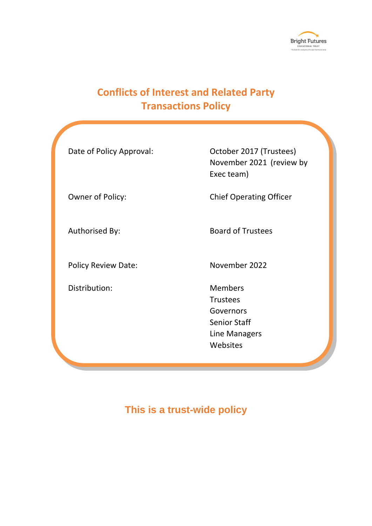

# **Conflicts of Interest and Related Party Transactions Policy**

| Date of Policy Approval:   | October 2017 (Trustees)<br>November 2021 (review by<br>Exec team)                                  |
|----------------------------|----------------------------------------------------------------------------------------------------|
| Owner of Policy:           | <b>Chief Operating Officer</b>                                                                     |
| Authorised By:             | <b>Board of Trustees</b>                                                                           |
| <b>Policy Review Date:</b> | November 2022                                                                                      |
| Distribution:              | <b>Members</b><br><b>Trustees</b><br>Governors<br><b>Senior Staff</b><br>Line Managers<br>Websites |
|                            |                                                                                                    |

# **This is a trust-wide policy**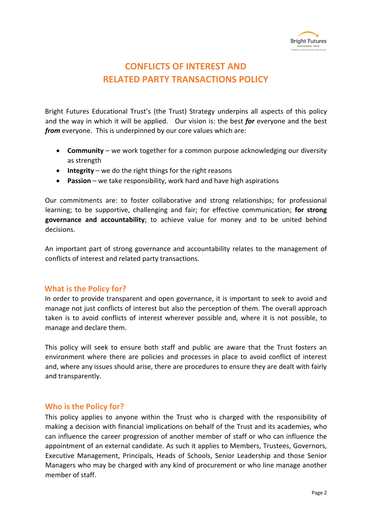

# **CONFLICTS OF INTEREST AND RELATED PARTY TRANSACTIONS POLICY**

Bright Futures Educational Trust's (the Trust) Strategy underpins all aspects of this policy and the way in which it will be applied. Our vision is: the best *for* everyone and the best *from* everyone. This is underpinned by our core values which are:

- **Community** we work together for a common purpose acknowledging our diversity as strength
- **Integrity** we do the right things for the right reasons
- **Passion** we take responsibility, work hard and have high aspirations

Our commitments are: to foster collaborative and strong relationships; for professional learning; to be supportive, challenging and fair; for effective communication; **for strong governance and accountability**; to achieve value for money and to be united behind decisions.

An important part of strong governance and accountability relates to the management of conflicts of interest and related party transactions.

### **What is the Policy for?**

In order to provide transparent and open governance, it is important to seek to avoid and manage not just conflicts of interest but also the perception of them. The overall approach taken is to avoid conflicts of interest wherever possible and, where it is not possible, to manage and declare them.

This policy will seek to ensure both staff and public are aware that the Trust fosters an environment where there are policies and processes in place to avoid conflict of interest and, where any issues should arise, there are procedures to ensure they are dealt with fairly and transparently.

### **Who is the Policy for?**

This policy applies to anyone within the Trust who is charged with the responsibility of making a decision with financial implications on behalf of the Trust and its academies, who can influence the career progression of another member of staff or who can influence the appointment of an external candidate. As such it applies to Members, Trustees, Governors, Executive Management, Principals, Heads of Schools, Senior Leadership and those Senior Managers who may be charged with any kind of procurement or who line manage another member of staff.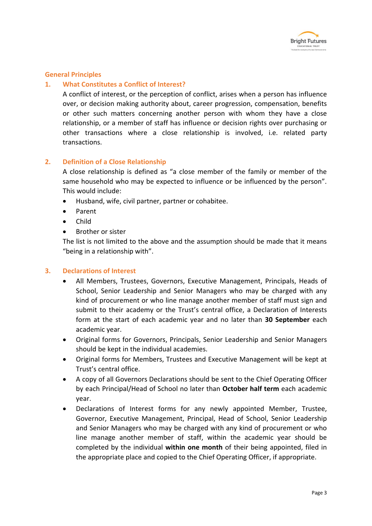

### **General Principles**

### **1. What Constitutes a Conflict of Interest?**

A conflict of interest, or the perception of conflict, arises when a person has influence over, or decision making authority about, career progression, compensation, benefits or other such matters concerning another person with whom they have a close relationship, or a member of staff has influence or decision rights over purchasing or other transactions where a close relationship is involved, i.e. related party transactions.

### **2. Definition of a Close Relationship**

A close relationship is defined as "a close member of the family or member of the same household who may be expected to influence or be influenced by the person". This would include:

- Husband, wife, civil partner, partner or cohabitee.
- Parent
- Child
- Brother or sister

The list is not limited to the above and the assumption should be made that it means "being in a relationship with".

### **3. Declarations of Interest**

- All Members, Trustees, Governors, Executive Management, Principals, Heads of School, Senior Leadership and Senior Managers who may be charged with any kind of procurement or who line manage another member of staff must sign and submit to their academy or the Trust's central office, a Declaration of Interests form at the start of each academic year and no later than **30 September** each academic year.
- Original forms for Governors, Principals, Senior Leadership and Senior Managers should be kept in the individual academies.
- Original forms for Members, Trustees and Executive Management will be kept at Trust's central office.
- A copy of all Governors Declarations should be sent to the Chief Operating Officer by each Principal/Head of School no later than **October half term** each academic year.
- Declarations of Interest forms for any newly appointed Member, Trustee, Governor, Executive Management, Principal, Head of School, Senior Leadership and Senior Managers who may be charged with any kind of procurement or who line manage another member of staff, within the academic year should be completed by the individual **within one month** of their being appointed, filed in the appropriate place and copied to the Chief Operating Officer, if appropriate.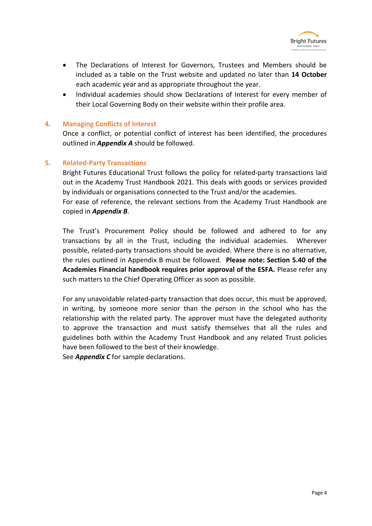

- The Declarations of Interest for Governors, Trustees and Members should be included as a table on the Trust website and updated no later than **14 October** each academic year and as appropriate throughout the year.
- Individual academies should show Declarations of Interest for every member of their Local Governing Body on their website within their profile area.

### **4. Managing Conflicts of Interest**

Once a conflict, or potential conflict of interest has been identified, the procedures outlined in *Appendix A* should be followed.

### **5. Related-Party Transactions**

Bright Futures Educational Trust follows the policy for related-party transactions laid out in the Academy Trust Handbook 2021. This deals with goods or services provided by individuals or organisations connected to the Trust and/or the academies. For ease of reference, the relevant sections from the Academy Trust Handbook are copied in *Appendix B*.

The Trust's Procurement Policy should be followed and adhered to for any transactions by all in the Trust, including the individual academies. Wherever possible, related-party transactions should be avoided. Where there is no alternative, the rules outlined in Appendix B must be followed. **Please note: Section 5.40 of the Academies Financial handbook requires prior approval of the ESFA.** Please refer any such matters to the Chief Operating Officer as soon as possible.

For any unavoidable related-party transaction that does occur, this must be approved, in writing, by someone more senior than the person in the school who has the relationship with the related party. The approver must have the delegated authority to approve the transaction and must satisfy themselves that all the rules and guidelines both within the Academy Trust Handbook and any related Trust policies have been followed to the best of their knowledge.

See *Appendix C* for sample declarations.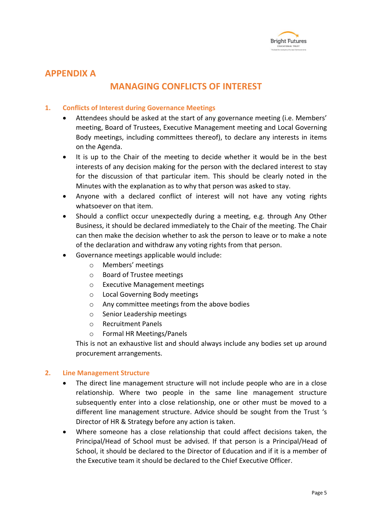

### **APPENDIX A**

## **MANAGING CONFLICTS OF INTEREST**

### **1. Conflicts of Interest during Governance Meetings**

- Attendees should be asked at the start of any governance meeting (i.e. Members' meeting, Board of Trustees, Executive Management meeting and Local Governing Body meetings, including committees thereof), to declare any interests in items on the Agenda.
- It is up to the Chair of the meeting to decide whether it would be in the best interests of any decision making for the person with the declared interest to stay for the discussion of that particular item. This should be clearly noted in the Minutes with the explanation as to why that person was asked to stay.
- Anyone with a declared conflict of interest will not have any voting rights whatsoever on that item.
- Should a conflict occur unexpectedly during a meeting, e.g. through Any Other Business, it should be declared immediately to the Chair of the meeting. The Chair can then make the decision whether to ask the person to leave or to make a note of the declaration and withdraw any voting rights from that person.
- Governance meetings applicable would include:
	- o Members' meetings
	- o Board of Trustee meetings
	- o Executive Management meetings
	- o Local Governing Body meetings
	- o Any committee meetings from the above bodies
	- o Senior Leadership meetings
	- o Recruitment Panels
	- o Formal HR Meetings/Panels

This is not an exhaustive list and should always include any bodies set up around procurement arrangements.

### **2. Line Management Structure**

- The direct line management structure will not include people who are in a close relationship. Where two people in the same line management structure subsequently enter into a close relationship, one or other must be moved to a different line management structure. Advice should be sought from the Trust 's Director of HR & Strategy before any action is taken.
- Where someone has a close relationship that could affect decisions taken, the Principal/Head of School must be advised. If that person is a Principal/Head of School, it should be declared to the Director of Education and if it is a member of the Executive team it should be declared to the Chief Executive Officer.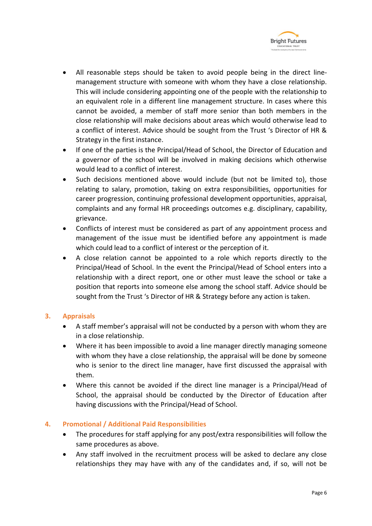

- All reasonable steps should be taken to avoid people being in the direct linemanagement structure with someone with whom they have a close relationship. This will include considering appointing one of the people with the relationship to an equivalent role in a different line management structure. In cases where this cannot be avoided, a member of staff more senior than both members in the close relationship will make decisions about areas which would otherwise lead to a conflict of interest. Advice should be sought from the Trust 's Director of HR & Strategy in the first instance.
- If one of the parties is the Principal/Head of School, the Director of Education and a governor of the school will be involved in making decisions which otherwise would lead to a conflict of interest.
- Such decisions mentioned above would include (but not be limited to), those relating to salary, promotion, taking on extra responsibilities, opportunities for career progression, continuing professional development opportunities, appraisal, complaints and any formal HR proceedings outcomes e.g. disciplinary, capability, grievance.
- Conflicts of interest must be considered as part of any appointment process and management of the issue must be identified before any appointment is made which could lead to a conflict of interest or the perception of it.
- A close relation cannot be appointed to a role which reports directly to the Principal/Head of School. In the event the Principal/Head of School enters into a relationship with a direct report, one or other must leave the school or take a position that reports into someone else among the school staff. Advice should be sought from the Trust 's Director of HR & Strategy before any action is taken.

### **3. Appraisals**

- A staff member's appraisal will not be conducted by a person with whom they are in a close relationship.
- Where it has been impossible to avoid a line manager directly managing someone with whom they have a close relationship, the appraisal will be done by someone who is senior to the direct line manager, have first discussed the appraisal with them.
- Where this cannot be avoided if the direct line manager is a Principal/Head of School, the appraisal should be conducted by the Director of Education after having discussions with the Principal/Head of School.

### **4. Promotional / Additional Paid Responsibilities**

- The procedures for staff applying for any post/extra responsibilities will follow the same procedures as above.
- Any staff involved in the recruitment process will be asked to declare any close relationships they may have with any of the candidates and, if so, will not be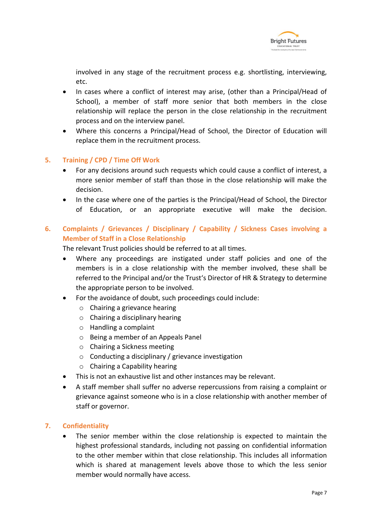

involved in any stage of the recruitment process e.g. shortlisting, interviewing, etc.

- In cases where a conflict of interest may arise, (other than a Principal/Head of School), a member of staff more senior that both members in the close relationship will replace the person in the close relationship in the recruitment process and on the interview panel.
- Where this concerns a Principal/Head of School, the Director of Education will replace them in the recruitment process.

### **5. Training / CPD / Time Off Work**

- For any decisions around such requests which could cause a conflict of interest, a more senior member of staff than those in the close relationship will make the decision.
- In the case where one of the parties is the Principal/Head of School, the Director of Education, or an appropriate executive will make the decision.

### **6. Complaints / Grievances / Disciplinary / Capability / Sickness Cases involving a Member of Staff in a Close Relationship**

The relevant Trust policies should be referred to at all times.

- Where any proceedings are instigated under staff policies and one of the members is in a close relationship with the member involved, these shall be referred to the Principal and/or the Trust's Director of HR & Strategy to determine the appropriate person to be involved.
- For the avoidance of doubt, such proceedings could include:
	- o Chairing a grievance hearing
	- o Chairing a disciplinary hearing
	- o Handling a complaint
	- o Being a member of an Appeals Panel
	- o Chairing a Sickness meeting
	- o Conducting a disciplinary / grievance investigation
	- o Chairing a Capability hearing
- This is not an exhaustive list and other instances may be relevant.
- A staff member shall suffer no adverse repercussions from raising a complaint or grievance against someone who is in a close relationship with another member of staff or governor.

### **7. Confidentiality**

The senior member within the close relationship is expected to maintain the highest professional standards, including not passing on confidential information to the other member within that close relationship. This includes all information which is shared at management levels above those to which the less senior member would normally have access.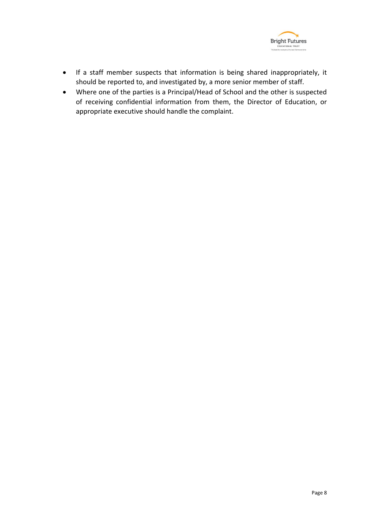

- If a staff member suspects that information is being shared inappropriately, it should be reported to, and investigated by, a more senior member of staff.
- Where one of the parties is a Principal/Head of School and the other is suspected of receiving confidential information from them, the Director of Education, or appropriate executive should handle the complaint.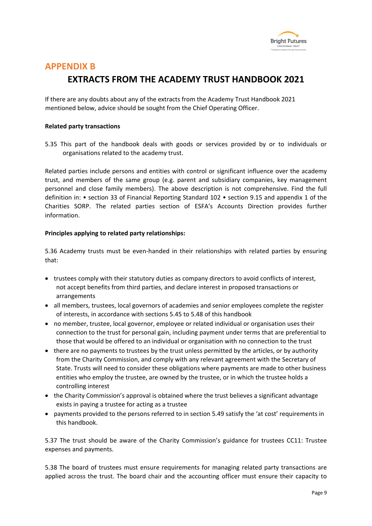

### **APPENDIX B**

# **EXTRACTS FROM THE ACADEMY TRUST HANDBOOK 2021**

If there are any doubts about any of the extracts from the Academy Trust Handbook 2021 mentioned below, advice should be sought from the Chief Operating Officer.

#### **Related party transactions**

5.35 This part of the handbook deals with goods or services provided by or to individuals or organisations related to the academy trust.

Related parties include persons and entities with control or significant influence over the academy trust, and members of the same group (e.g. parent and subsidiary companies, key management personnel and close family members). The above description is not comprehensive. Find the full definition in: • section 33 of Financial Reporting Standard 102 • section 9.15 and appendix 1 of the Charities SORP. The related parties section of ESFA's Accounts Direction provides further information.

#### **Principles applying to related party relationships:**

5.36 Academy trusts must be even-handed in their relationships with related parties by ensuring that:

- trustees comply with their statutory duties as company directors to avoid conflicts of interest, not accept benefits from third parties, and declare interest in proposed transactions or arrangements
- all members, trustees, local governors of academies and senior employees complete the register of interests, in accordance with sections 5.45 to 5.48 of this handbook
- no member, trustee, local governor, employee or related individual or organisation uses their connection to the trust for personal gain, including payment under terms that are preferential to those that would be offered to an individual or organisation with no connection to the trust
- there are no payments to trustees by the trust unless permitted by the articles, or by authority from the Charity Commission, and comply with any relevant agreement with the Secretary of State. Trusts will need to consider these obligations where payments are made to other business entities who employ the trustee, are owned by the trustee, or in which the trustee holds a controlling interest
- the Charity Commission's approval is obtained where the trust believes a significant advantage exists in paying a trustee for acting as a trustee
- payments provided to the persons referred to in section 5.49 satisfy the 'at cost' requirements in this handbook.

5.37 The trust should be aware of the Charity Commission's guidance for trustees CC11: Trustee expenses and payments.

5.38 The board of trustees must ensure requirements for managing related party transactions are applied across the trust. The board chair and the accounting officer must ensure their capacity to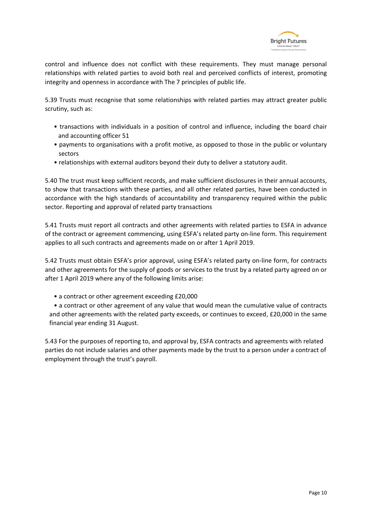

control and influence does not conflict with these requirements. They must manage personal relationships with related parties to avoid both real and perceived conflicts of interest, promoting integrity and openness in accordance with The 7 principles of public life.

5.39 Trusts must recognise that some relationships with related parties may attract greater public scrutiny, such as:

- transactions with individuals in a position of control and influence, including the board chair and accounting officer 51
- payments to organisations with a profit motive, as opposed to those in the public or voluntary sectors
- relationships with external auditors beyond their duty to deliver a statutory audit.

5.40 The trust must keep sufficient records, and make sufficient disclosures in their annual accounts, to show that transactions with these parties, and all other related parties, have been conducted in accordance with the high standards of accountability and transparency required within the public sector. Reporting and approval of related party transactions

5.41 Trusts must report all contracts and other agreements with related parties to ESFA in advance of the contract or agreement commencing, using ESFA's related party on-line form. This requirement applies to all such contracts and agreements made on or after 1 April 2019.

5.42 Trusts must obtain ESFA's prior approval, using ESFA's related party on-line form, for contracts and other agreements for the supply of goods or services to the trust by a related party agreed on or after 1 April 2019 where any of the following limits arise:

• a contract or other agreement exceeding £20,000

• a contract or other agreement of any value that would mean the cumulative value of contracts and other agreements with the related party exceeds, or continues to exceed, £20,000 in the same financial year ending 31 August.

5.43 For the purposes of reporting to, and approval by, ESFA contracts and agreements with related parties do not include salaries and other payments made by the trust to a person under a contract of employment through the trust's payroll.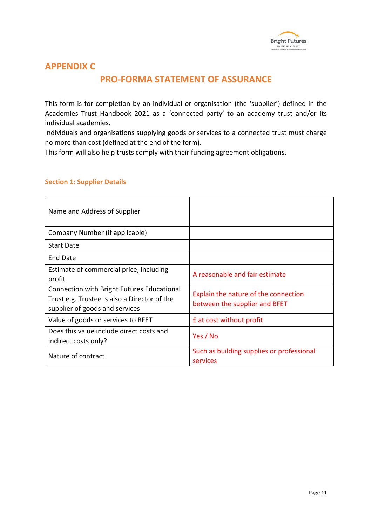

### **APPENDIX C**

## **PRO-FORMA STATEMENT OF ASSURANCE**

This form is for completion by an individual or organisation (the 'supplier') defined in the Academies Trust Handbook 2021 as a 'connected party' to an academy trust and/or its individual academies.

Individuals and organisations supplying goods or services to a connected trust must charge no more than cost (defined at the end of the form).

This form will also help trusts comply with their funding agreement obligations.

| Name and Address of Supplier                                                                                                 |                                                                       |
|------------------------------------------------------------------------------------------------------------------------------|-----------------------------------------------------------------------|
| Company Number (if applicable)                                                                                               |                                                                       |
| <b>Start Date</b>                                                                                                            |                                                                       |
| End Date                                                                                                                     |                                                                       |
| Estimate of commercial price, including<br>profit                                                                            | A reasonable and fair estimate                                        |
| Connection with Bright Futures Educational<br>Trust e.g. Trustee is also a Director of the<br>supplier of goods and services | Explain the nature of the connection<br>between the supplier and BFET |
| Value of goods or services to BFET                                                                                           | <b>E</b> at cost without profit                                       |
| Does this value include direct costs and<br>indirect costs only?                                                             | Yes / No                                                              |
| Nature of contract                                                                                                           | Such as building supplies or professional<br>services                 |

#### **Section 1: Supplier Details**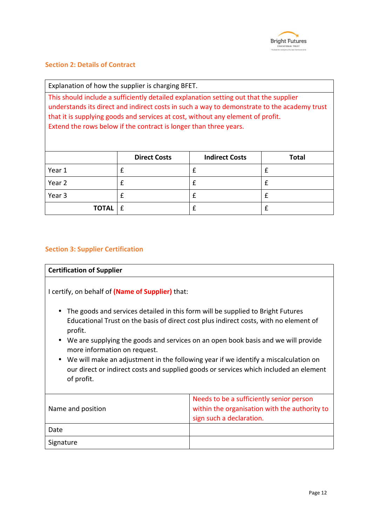

### **Section 2: Details of Contract**

Explanation of how the supplier is charging BFET.

This should include a sufficiently detailed explanation setting out that the supplier understands its direct and indirect costs in such a way to demonstrate to the academy trust that it is supplying goods and services at cost, without any element of profit. Extend the rows below if the contract is longer than three years.

|                  | <b>Direct Costs</b> | <b>Indirect Costs</b> | <b>Total</b> |  |
|------------------|---------------------|-----------------------|--------------|--|
| Year 1           |                     |                       |              |  |
| Year 2           |                     |                       |              |  |
| Year 3           |                     |                       |              |  |
| <b>TOTAL</b> $E$ |                     |                       |              |  |

### **Section 3: Supplier Certification**

### **Certification of Supplier**

I certify, on behalf of **(Name of Supplier)** that:

- The goods and services detailed in this form will be supplied to Bright Futures Educational Trust on the basis of direct cost plus indirect costs, with no element of profit.
- We are supplying the goods and services on an open book basis and we will provide more information on request.
- We will make an adjustment in the following year if we identify a miscalculation on our direct or indirect costs and supplied goods or services which included an element of profit.

| Name and position | Needs to be a sufficiently senior person<br>within the organisation with the authority to<br>sign such a declaration. |
|-------------------|-----------------------------------------------------------------------------------------------------------------------|
| Date              |                                                                                                                       |
| Signature         |                                                                                                                       |